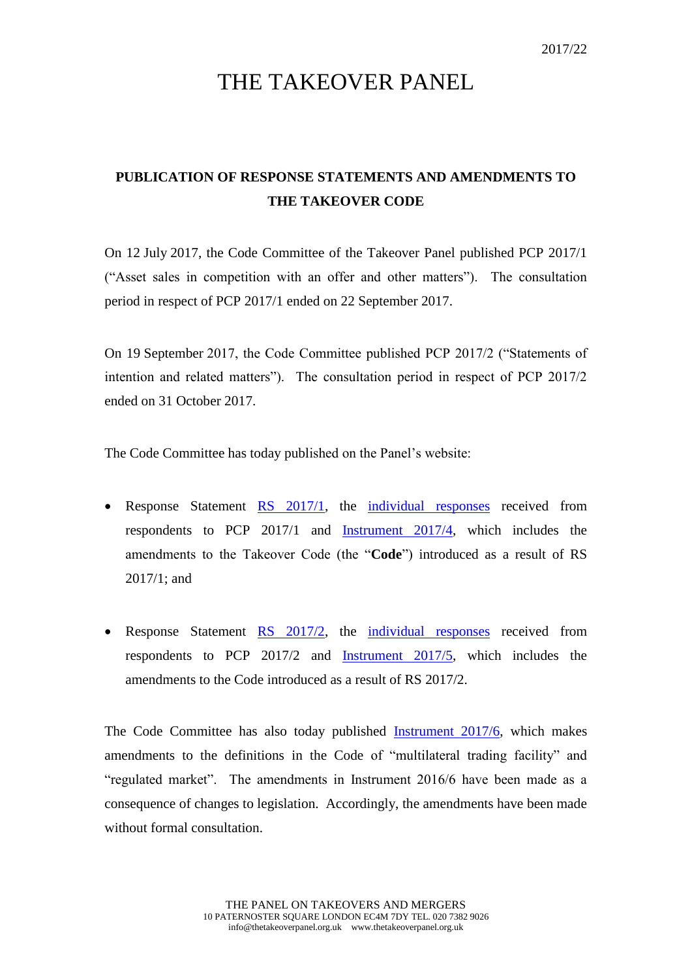## THE TAKEOVER PANEL

## **PUBLICATION OF RESPONSE STATEMENTS AND AMENDMENTS TO THE TAKEOVER CODE**

On 12 July 2017, the Code Committee of the Takeover Panel published PCP 2017/1 ("Asset sales in competition with an offer and other matters"). The consultation period in respect of PCP 2017/1 ended on 22 September 2017.

On 19 September 2017, the Code Committee published PCP 2017/2 ("Statements of intention and related matters"). The consultation period in respect of PCP 2017/2 ended on 31 October 2017.

The Code Committee has today published on the Panel's website:

- Response Statement [RS 2017/1,](http://www.thetakeoverpanel.org.uk/consultation/response-statements) the [individual responses](http://www.thetakeoverpanel.org.uk/consultation/individual-responses-to-public-consultations) received from respondents to PCP 2017/1 and [Instrument 2017/4,](http://www.thetakeoverpanel.org.uk/the-code/download-code/list-of-instruments-and-links) which includes the amendments to the Takeover Code (the "**Code**") introduced as a result of RS 2017/1; and
- Response Statement [RS 2017/2,](http://www.thetakeoverpanel.org.uk/consultation/response-statements) the [individual responses](http://www.thetakeoverpanel.org.uk/consultation/individual-responses-to-public-consultations) received from respondents to PCP 2017/2 and [Instrument 2017/5,](http://www.thetakeoverpanel.org.uk/the-code/download-code/list-of-instruments-and-links) which includes the amendments to the Code introduced as a result of RS 2017/2.

The Code Committee has also today published [Instrument 2017/6,](http://www.thetakeoverpanel.org.uk/the-code/download-code/list-of-instruments-and-links) which makes amendments to the definitions in the Code of "multilateral trading facility" and "regulated market". The amendments in Instrument 2016/6 have been made as a consequence of changes to legislation. Accordingly, the amendments have been made without formal consultation.